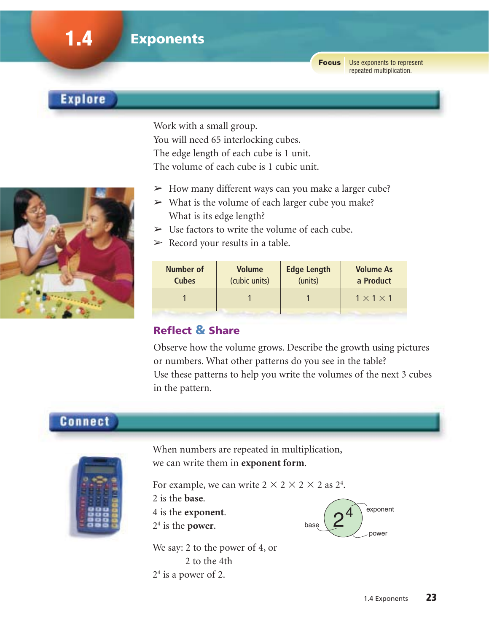Use exponents to represent **Focus** repeated multiplication.

## **Explore**

**1.4 Exponents**

Work with a small group. You will need 65 interlocking cubes. The edge length of each cube is 1 unit. The volume of each cube is 1 cubic unit.

- $\triangleright$  How many different ways can you make a larger cube?
- $\triangleright$  What is the volume of each larger cube you make? What is its edge length?
- $>$  Use factors to write the volume of each cube.
- $\triangleright$  Record your results in a table.

| Number of<br><b>Cubes</b> | <b>Volume</b><br>(cubic units) | <b>Edge Length</b><br>(units) | <b>Volume As</b><br>a Product |
|---------------------------|--------------------------------|-------------------------------|-------------------------------|
|                           |                                |                               | $1 \times 1 \times 1$         |
|                           |                                |                               |                               |

## **Reflect & Share**

Observe how the volume grows. Describe the growth using pictures or numbers. What other patterns do you see in the table? Use these patterns to help you write the volumes of the next 3 cubes in the pattern.

## **Connect**



When numbers are repeated in multiplication, we can write them in **exponent form**.

For example, we can write  $2 \times 2 \times 2 \times 2$  as  $2^4$ . 2 is the **base**.

4 is the **exponent**.

24 is the **power**.

We say: 2 to the power of 4, or 2 to the 4th  $2<sup>4</sup>$  is a power of 2.



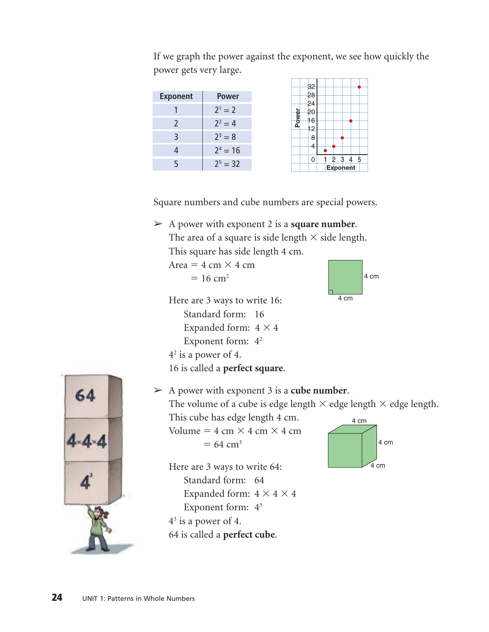Exponent | Power 1  $2^1 = 2$ 2  $2^2 = 4$ 3  $2^3 = 8$ 4  $2^4 = 16$ 5  $2^5 = 32$ 4 8 12 16 20 24 28 32 0 12345 **Power Exponent**

If we graph the power against the exponent, we see how quickly the power gets very large.

Square numbers and cube numbers are special powers.

➢ A power with exponent 2 is a **square number**. The area of a square is side length  $\times$  side length. This square has side length 4 cm.

```
Area = 4 \text{ cm} \times 4 \text{ cm}
```

```
= 16 cm<sup>2</sup>
```
Here are 3 ways to write 16: Standard form: 16 Expanded form:  $4 \times 4$ Exponent form:  $4<sup>2</sup>$  $4<sup>2</sup>$  is a power of 4. 16 is called a **perfect square**.





➢ A power with exponent 3 is a **cube number**. The volume of a cube is edge length  $\times$  edge length  $\times$  edge length. This cube has edge length 4 cm. 4 cm

Volume =  $4 \text{ cm} \times 4 \text{ cm} \times 4 \text{ cm}$  $= 64$  cm<sup>3</sup>

Here are 3 ways to write 64: Standard form: 64 Expanded form:  $4 \times 4 \times 4$ Exponent form: 43  $4<sup>3</sup>$  is a power of 4. 64 is called a **perfect cube**.

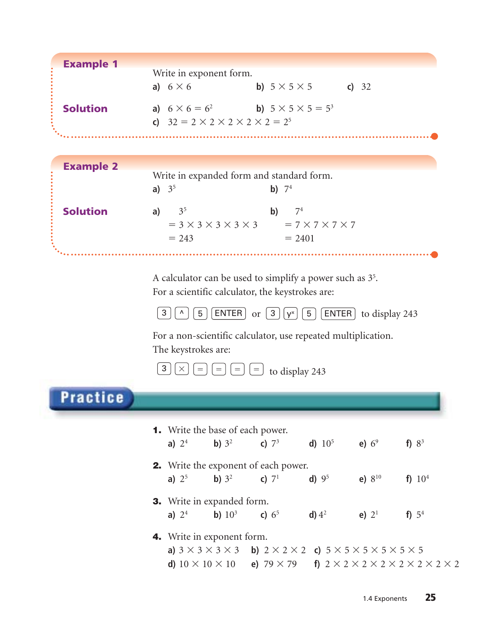| <b>Example 1</b> | Write in exponent form.<br>a) $6 \times 6$<br><b>b</b> ) $5 \times 5 \times 5$ <b>c</b> ) 32                                                 |
|------------------|----------------------------------------------------------------------------------------------------------------------------------------------|
|                  |                                                                                                                                              |
| <b>Solution</b>  | <b>a)</b> $6 \times 6 = 6^2$<br><b>b)</b> $5 \times 5 \times 5 = 5^3$<br>c) $32 = 2 \times 2 \times 2 \times 2 \times 2 = 2^5$               |
|                  |                                                                                                                                              |
|                  |                                                                                                                                              |
| <b>Example 2</b> |                                                                                                                                              |
|                  | Write in expanded form and standard form.<br>a) $3^5$<br><b>b</b> ) $7^4$                                                                    |
|                  |                                                                                                                                              |
| <b>Solution</b>  | 3 <sup>5</sup><br>7 <sup>4</sup><br>$\mathbf{b}$<br>a)                                                                                       |
|                  | $= 3 \times 3 \times 3 \times 3 \times 3$ $= 7 \times 7 \times 7 \times 7$<br>$= 243$<br>$= 2401$                                            |
|                  |                                                                                                                                              |
|                  |                                                                                                                                              |
|                  | A calculator can be used to simplify a power such as $35$ .                                                                                  |
|                  | For a scientific calculator, the keystrokes are:                                                                                             |
|                  | 5 <br>ENTER   or $[3   y^x] [5]$<br>$[ENTER]$ to display 243<br>3                                                                            |
|                  | For a non-scientific calculator, use repeated multiplication.                                                                                |
|                  | The keystrokes are:                                                                                                                          |
|                  | 3<br>$=$<br>$=$<br>to display 243<br>$=$                                                                                                     |
|                  |                                                                                                                                              |
|                  |                                                                                                                                              |
| <b>Practice</b>  |                                                                                                                                              |
|                  |                                                                                                                                              |
|                  | <b>1.</b> Write the base of each power.                                                                                                      |
|                  | <b>a)</b> $2^4$ <b>b)</b> $3^2$ <b>c)</b> $7^3$ <b>d)</b> $10^5$ <b>e)</b> $6^9$<br>f) $8^3$                                                 |
|                  | 2. Write the exponent of each power.                                                                                                         |
|                  | <b>a</b> ) $2^5$ <b>b</b> ) $3^2$ <b>c</b> ) $7^1$<br><b>d)</b> $9^5$ <b>e)</b> $8^{10}$<br>f) $10^4$                                        |
|                  |                                                                                                                                              |
|                  | <b>3.</b> Write in expanded form.<br><b>a)</b> $2^4$ <b>b)</b> $10^3$ <b>c)</b> $6^5$ <b>d)</b> $4^2$<br>e) $2^1$<br>f) $5^4$                |
|                  |                                                                                                                                              |
|                  | 4. Write in exponent form.<br>a) $3 \times 3 \times 3 \times 3$ b) $2 \times 2 \times 2$ c) $5 \times 5 \times 5 \times 5 \times 5 \times 5$ |